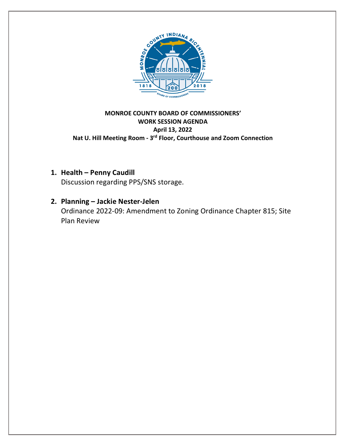

## **MONROE COUNTY BOARD OF COMMISSIONERS' WORK SESSION AGENDA April 13, 2022 Nat U. Hill Meeting Room - 3rd Floor, Courthouse and Zoom Connection**

**1. Health – Penny Caudill**

Discussion regarding PPS/SNS storage.

**2. Planning – Jackie Nester-Jelen**

Ordinance 2022-09: Amendment to Zoning Ordinance Chapter 815; Site Plan Review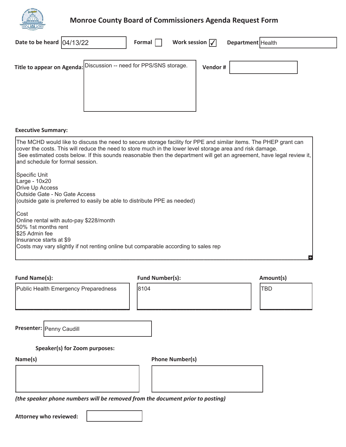

# **Monroe County Board of Commissioners Agenda Request Form**

| Date to be heard  04/13/22                                                                                                                                                                                                                                        | Work session $\sqrt{}$<br>Formal        | Department   Health                                                                                                   |
|-------------------------------------------------------------------------------------------------------------------------------------------------------------------------------------------------------------------------------------------------------------------|-----------------------------------------|-----------------------------------------------------------------------------------------------------------------------|
| <b>Title to appear on Agenda:</b>                                                                                                                                                                                                                                 | Discussion -- need for PPS/SNS storage. | Vendor#                                                                                                               |
| <b>Executive Summary:</b>                                                                                                                                                                                                                                         |                                         |                                                                                                                       |
| The MCHD would like to discuss the need to secure storage facility for PPE and similar items. The PHEP grant can<br>cover the costs. This will reduce the need to store much in the lower level storage area and risk damage.<br>and schedule for formal session. |                                         | See estimated costs below. If this sounds reasonable then the department will get an agreement, have legal review it, |
| Specific Unit<br>Large - 10x20<br>Drive Up Access<br>Outside Gate - No Gate Access<br>(outside gate is preferred to easily be able to distribute PPE as needed)                                                                                                   |                                         |                                                                                                                       |
| Cost<br>Online rental with auto-pay \$228/month<br>50% 1st months rent<br>∣\$25 Admin fee<br>Insurance starts at \$9<br>Costs may vary slightly if not renting online but comparable according to sales rep                                                       |                                         |                                                                                                                       |
|                                                                                                                                                                                                                                                                   |                                         |                                                                                                                       |
| <b>Fund Name(s):</b><br>Public Health Emergency Preparedness                                                                                                                                                                                                      | <b>Fund Number(s):</b><br>8104          | Amount(s)<br><b>TBD</b>                                                                                               |
|                                                                                                                                                                                                                                                                   |                                         |                                                                                                                       |
| Presenter: Penny Caudill                                                                                                                                                                                                                                          |                                         |                                                                                                                       |

**Speaker(s) for Zoom purposes:** 

**Name(s) Phone Number(s)** 



*(the speaker phone numbers will be removed from the document prior to posting)* 

**Attorney who reviewed:**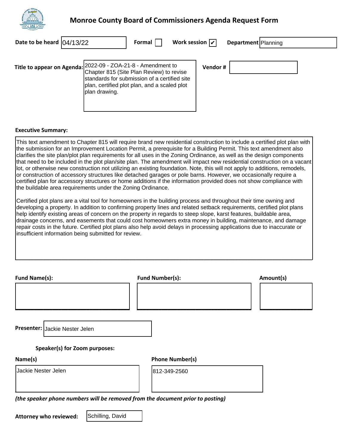

### **Monroe County Board of Commissioners Agenda Request Form**

| Date to be heard $(04/13/22)$                                |                                                                                                                                                           | Formal | Work session $\sqrt{\phantom{a}}$ |         | <b>Department</b> Planning |  |
|--------------------------------------------------------------|-----------------------------------------------------------------------------------------------------------------------------------------------------------|--------|-----------------------------------|---------|----------------------------|--|
| Title to appear on Agenda: 2022-09 - ZOA-21-8 - Amendment to | Chapter 815 (Site Plan Review) to revise<br>standards for submission of a certified site<br>plan, certified plot plan, and a scaled plot<br>plan drawing. |        |                                   | Vendor# |                            |  |

#### **Executive Summary:**

This text amendment to Chapter 815 will require brand new residential construction to include a certified plot plan with the submission for an Improvement Location Permit, a prerequisite for a Building Permit. This text amendment also clarifies the site plan/plot plan requirements for all uses in the Zoning Ordinance, as well as the design components that need to be included in the plot plan/site plan. The amendment will impact new residential construction on a vacant lot, or otherwise new construction not utilizing an existing foundation. Note, this will not apply to additions, remodels, or construction of accessory structures like detached garages or pole barns. However, we occasionally require a certified plan for accessory structures or home additions if the information provided does not show compliance with the buildable area requirements under the Zoning Ordinance.

Certified plot plans are a vital tool for homeowners in the building process and throughout their time owning and developing a property. In addition to confirming property lines and related setback requirements, certified plot plans help identify existing areas of concern on the property in regards to steep slope, karst features, buildable area, drainage concerns, and easements that could cost homeowners extra money in building, maintenance, and damage repair costs in the future. Certified plot plans also help avoid delays in processing applications due to inaccurate or insufficient information being submitted for review.

**\_\_\_\_\_\_\_\_\_\_\_\_\_\_\_\_\_\_\_\_\_\_\_\_\_\_\_\_\_\_\_\_\_\_\_\_\_\_\_\_\_\_\_\_\_\_\_\_\_\_\_\_\_\_\_\_\_\_\_\_\_\_\_\_\_\_\_\_\_\_\_\_\_\_\_\_\_\_\_\_\_\_\_\_\_\_\_\_\_\_\_\_\_\_\_\_**

| <b>Fund Name(s):</b>                                                           | <b>Fund Number(s):</b> | Amount(s) |
|--------------------------------------------------------------------------------|------------------------|-----------|
|                                                                                |                        |           |
| Presenter: Jackie Nester Jelen                                                 |                        |           |
| Speaker(s) for Zoom purposes:                                                  |                        |           |
| Name(s)                                                                        | <b>Phone Number(s)</b> |           |
| Jackie Nester Jelen                                                            | 812-349-2560           |           |
| (the speaker phone numbers will be removed from the document prior to posting) |                        |           |

**Attorney who reviewed:** 

Schilling, David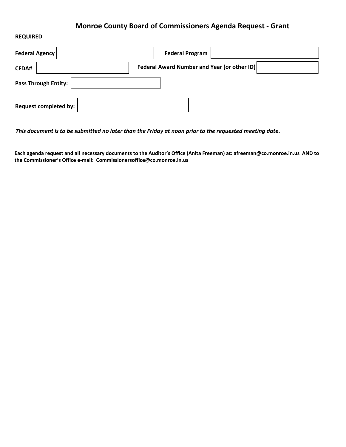## **Monroe County Board of Commissioners Agenda Request - Grant**

#### **REQUIRED**

| <b>Federal Agency!</b> | <b>Federal Program</b>                      |
|------------------------|---------------------------------------------|
| <b>CFDA#</b>           | Federal Award Number and Year (or other ID) |
| Pass Through Entity:   |                                             |
| Request completed by:  |                                             |

*This document is to be submitted no later than the Friday at noon prior to the requested meeting date***.** 

**Each agenda request and all neces[sary documents to the Auditor's Office \(A](mailto:Commissionersoffice@co.monroe.in.us)nita Freeman) at: afreeman@co.monroe.in.us AND to the Commissioner's Office e-mail: Commissionersoffice@co.monroe.in.us**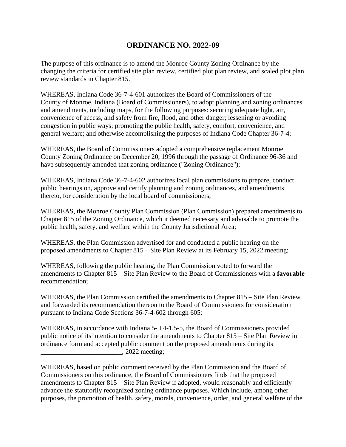## **ORDINANCE NO. 2022-09**

The purpose of this ordinance is to amend the Monroe County Zoning Ordinance by the changing the criteria for certified site plan review, certified plot plan review, and scaled plot plan review standards in Chapter 815.

WHEREAS, Indiana Code 36-7-4-601 authorizes the Board of Commissioners of the County of Monroe, Indiana (Board of Commissioners), to adopt planning and zoning ordinances and amendments, including maps, for the following purposes: securing adequate light, air, convenience of access, and safety from fire, flood, and other danger; lessening or avoiding congestion in public ways; promoting the public health, safety, comfort, convenience, and general welfare; and otherwise accomplishing the purposes of Indiana Code Chapter 36-7-4;

WHEREAS, the Board of Commissioners adopted a comprehensive replacement Monroe County Zoning Ordinance on December 20, 1996 through the passage of Ordinance 96-36 and have subsequently amended that zoning ordinance ("Zoning Ordinance");

WHEREAS, Indiana Code 36-7-4-602 authorizes local plan commissions to prepare, conduct public hearings on, approve and certify planning and zoning ordinances, and amendments thereto, for consideration by the local board of commissioners;

WHEREAS, the Monroe County Plan Commission (Plan Commission) prepared amendments to Chapter 815 of the Zoning Ordinance, which it deemed necessary and advisable to promote the public health, safety, and welfare within the County Jurisdictional Area;

WHEREAS, the Plan Commission advertised for and conducted a public hearing on the proposed amendments to Chapter 815 – Site Plan Review at its February 15, 2022 meeting;

WHEREAS, following the public hearing, the Plan Commission voted to forward the amendments to Chapter 815 – Site Plan Review to the Board of Commissioners with a **favorable** recommendation;

WHEREAS, the Plan Commission certified the amendments to Chapter 815 – Site Plan Review and forwarded its recommendation thereon to the Board of Commissioners for consideration pursuant to Indiana Code Sections 36-7-4-602 through 605;

WHEREAS, in accordance with Indiana 5- I 4-1.5-5, the Board of Commissioners provided public notice of its intention to consider the amendments to Chapter 815 – Site Plan Review in ordinance form and accepted public comment on the proposed amendments during its \_\_\_\_\_\_\_\_\_\_\_\_\_\_\_\_\_\_\_\_\_\_\_\_, 2022 meeting;

WHEREAS, based on public comment received by the Plan Commission and the Board of Commissioners on this ordinance, the Board of Commissioners finds that the proposed amendments to Chapter 815 – Site Plan Review if adopted, would reasonably and efficiently advance the statutorily recognized zoning ordinance purposes. Which include, among other purposes, the promotion of health, safety, morals, convenience, order, and general welfare of the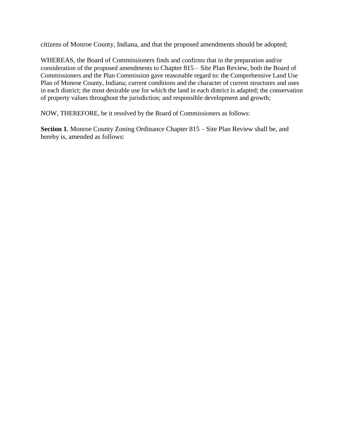citizens of Monroe County, Indiana, and that the proposed amendments should be adopted;

WHEREAS, the Board of Commissioners finds and confirms that in the preparation and/or consideration of the proposed amendments to Chapter 815 – Site Plan Review, both the Board of Commissioners and the Plan Commission gave reasonable regard to: the Comprehensive Land Use Plan of Monroe County, Indiana; current conditions and the character of current structures and uses in each district; the most desirable use for which the land in each district is adapted; the conservation of property values throughout the jurisdiction; and responsible development and growth;

NOW, THEREFORE, be it resolved by the Board of Commissioners as follows:

**Section 1.** Monroe County Zoning Ordinance Chapter 815 – Site Plan Review shall be, and hereby is, amended as follows: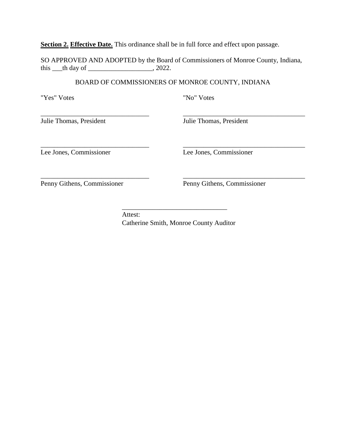**Section 2. Effective Date.** This ordinance shall be in full force and effect upon passage.

SO APPROVED AND ADOPTED by the Board of Commissioners of Monroe County, Indiana, this  $\_\_$ th day of  $\_\_$ , 2022.

### BOARD OF COMMISSIONERS OF MONROE COUNTY, INDIANA

\_\_\_\_\_\_\_\_\_\_\_\_\_\_\_\_\_\_\_\_\_\_\_\_\_\_\_\_\_\_\_\_ \_\_\_\_\_\_\_\_\_\_\_\_\_\_\_\_\_\_\_\_\_\_\_\_\_\_\_\_\_\_\_\_\_\_\_\_

\_\_\_\_\_\_\_\_\_\_\_\_\_\_\_\_\_\_\_\_\_\_\_\_\_\_\_\_\_\_\_\_ \_\_\_\_\_\_\_\_\_\_\_\_\_\_\_\_\_\_\_\_\_\_\_\_\_\_\_\_\_\_\_\_\_\_\_\_

\_\_\_\_\_\_\_\_\_\_\_\_\_\_\_\_\_\_\_\_\_\_\_\_\_\_\_\_\_\_\_\_ \_\_\_\_\_\_\_\_\_\_\_\_\_\_\_\_\_\_\_\_\_\_\_\_\_\_\_\_\_\_\_\_\_\_\_\_

"Yes" Votes "No" Votes

Julie Thomas, President Julie Thomas, President

Lee Jones, Commissioner Lee Jones, Commissioner

Penny Githens, Commissioner Penny Githens, Commissioner

\_\_\_\_\_\_\_\_\_\_\_\_\_\_\_\_\_\_\_\_\_\_\_\_\_\_\_\_\_\_\_ Attest: Catherine Smith, Monroe County Auditor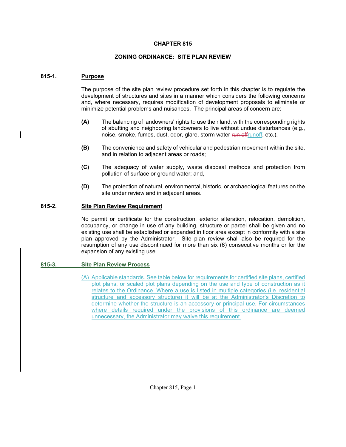#### **CHAPTER 815**

#### **ZONING ORDINANCE: SITE PLAN REVIEW**

#### **815-1. Purpose**

The purpose of the site plan review procedure set forth in this chapter is to regulate the development of structures and sites in a manner which considers the following concerns and, where necessary, requires modification of development proposals to eliminate or minimize potential problems and nuisances. The principal areas of concern are:

- **(A)** The balancing of landowners' rights to use their land, with the corresponding rights of abutting and neighboring landowners to live without undue disturbances (e.g., noise, smoke, fumes, dust, odor, glare, storm water run offrunoff, etc.).
- **(B)** The convenience and safety of vehicular and pedestrian movement within the site, and in relation to adjacent areas or roads;
- **(C)** The adequacy of water supply, waste disposal methods and protection from pollution of surface or ground water; and,
- **(D)** The protection of natural, environmental, historic, or archaeological features on the site under review and in adjacent areas.

#### **815-2. Site Plan Review Requirement**

No permit or certificate for the construction, exterior alteration, relocation, demolition, occupancy, or change in use of any building, structure or parcel shall be given and no existing use shall be established or expanded in floor area except in conformity with a site plan approved by the Administrator. Site plan review shall also be required for the resumption of any use discontinued for more than six (6) consecutive months or for the expansion of any existing use.

#### **815-3. Site Plan Review Process**

(A) Applicable standards. See table below for requirements for certified site plans, certified plot plans, or scaled plot plans depending on the use and type of construction as it relates to the Ordinance. Where a use is listed in multiple categories (i.e. residential structure and accessory structure) it will be at the Administrator's Discretion to determine whether the structure is an accessory or principal use. For circumstances where details required under the provisions of this ordinance are deemed unnecessary, the Administrator may waive this requirement.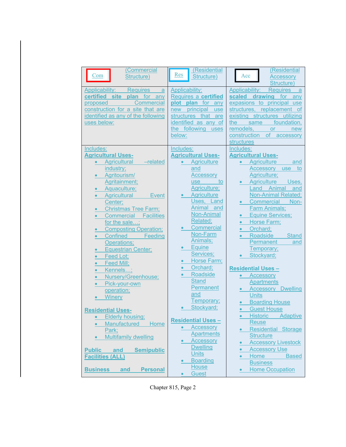| (Commercial<br>Com<br>Structure)                                                                                                                                                          | (Residential<br>Res<br>Structure)                                                                                                                                               | (Residential<br>Acc<br><b>Accessory</b><br>Structure)                                                                                                                                                                                                        |  |  |
|-------------------------------------------------------------------------------------------------------------------------------------------------------------------------------------------|---------------------------------------------------------------------------------------------------------------------------------------------------------------------------------|--------------------------------------------------------------------------------------------------------------------------------------------------------------------------------------------------------------------------------------------------------------|--|--|
| Applicability:<br>Requires<br>a<br>certified site plan for any<br><b>Commercial</b><br>proposed<br>construction for a site that are<br>identified as any of the following<br>uses below:  | <b>Applicability:</b><br>Requires a certified<br>plan for any<br>plot<br>principal<br>new<br>use<br>structures that are<br>identified as any of<br>the following uses<br>below: | Applicability:<br><b>Requires</b><br>a<br>scaled<br><b>drawing</b> for any<br>expasions to principal use<br>structures, replacement of<br>existing structures utilizing<br>foundation,<br>the<br>same<br>remodels,<br>or<br>new<br>construction of accessory |  |  |
| Includes:<br><b>Agricultural Uses-</b><br>• Agricultural<br>$-related$<br>industry;                                                                                                       | Includes:<br><b>Agricultural Uses-</b><br>Agriculture<br>$\bullet$<br>and                                                                                                       | structures<br>Includes:<br><b>Agricultural Uses-</b><br>Agriculture<br>$\bullet$<br>and<br>Accessory<br>to<br>use                                                                                                                                            |  |  |
| Agritourism/<br>$\bullet$<br>Agritainment;<br>Aquaculture;<br>$\bullet$<br><b>Agricultural</b><br><b>Event</b><br>$\bullet$<br>Center;                                                    | <b>Accessory</b><br>use<br>to<br>Agriculture;<br><b>Agriculture</b><br>Uses, Land                                                                                               | Agriculture;<br>Agriculture<br>Uses,<br>Land Animal<br>and<br><b>Non-Animal Related;</b><br>Commercial<br>Non-                                                                                                                                               |  |  |
| <b>Christmas Tree Farm;</b><br><b>Commercial Facilities</b><br>$\bullet$<br>for the sale;<br><b>Composting Operation;</b><br>$\bullet$<br>Confined<br><b>Example Feeding</b><br>$\bullet$ | Animal and<br><b>Non-Animal</b><br>Related;<br>Commercial<br>Non-Farm                                                                                                           | <b>Farm Animals;</b><br><b>Equine Services;</b><br>$\bullet$<br>Horse Farm;<br>$\bullet$<br>Orchard;<br>$\bullet$<br>Roadside<br><b>Stand</b><br>$\bullet$                                                                                                   |  |  |
| Operations;<br><b>Equestrian Center;</b><br>Feed Lot;<br>$\bullet$<br>Feed Mill;<br>$\bullet$                                                                                             | Animals;<br>Equine<br>Services;<br>Horse Farm;<br>$\bullet$                                                                                                                     | Permanent<br>and<br>Temporary;<br>Stockyard;                                                                                                                                                                                                                 |  |  |
| Kennels;<br>$\bullet$<br>Nursery/Greenhouse;<br>$\bullet$<br>Pick-your-own<br>$\bullet$<br>operation;<br>Winery<br>$\bullet$                                                              | Orchard;<br>$\bullet$<br>Roadside<br>$\bullet$<br><b>Stand</b><br>Permanent<br>and<br>Temporary;                                                                                | <b>Residential Uses -</b><br><b>Accessory</b><br><b>Apartments</b><br><b>Accessory Dwelling</b><br><b>Units</b>                                                                                                                                              |  |  |
| <b>Residential Uses-</b>                                                                                                                                                                  | Stockyard;<br>$\bullet$                                                                                                                                                         | <b>Boarding House</b><br>$\bullet$<br><b>Guest House</b><br>$\bullet$<br>Adaptive<br><b>Historic</b><br>$\bullet$                                                                                                                                            |  |  |
| Elderly housing;<br>$\bullet$<br>Manufactured<br>Home<br>$\bullet$<br>Park;<br>Multifamily dwelling<br>$\bullet$<br><b>Public</b><br>and<br><b>Semipublic</b>                             | <b>Residential Uses -</b><br>Accessory<br>$\bullet$<br><b>Apartments</b><br>Accessory<br>$\bullet$<br><b>Dwelling</b><br><b>Units</b>                                           | <b>Reuse</b><br><b>Residential Storage</b><br><b>Structure</b><br><b>Accessory Livestock</b><br><b>Accessory Use</b><br>$\bullet$                                                                                                                            |  |  |
| <b>Facilities (ALL)</b><br><b>Business</b><br>and<br><b>Personal</b>                                                                                                                      | <b>Boarding</b><br>$\bullet$<br>House<br><b>Guest</b><br>$\bullet$                                                                                                              | Home<br><b>Based</b><br><b>Business</b><br><b>Home Occupation</b>                                                                                                                                                                                            |  |  |

Chapter 815, Page 2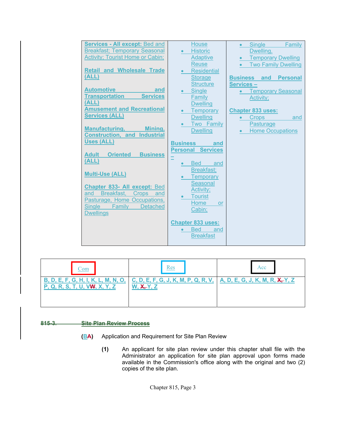

| Com                                                                         | Res                                                                                        | Acc |
|-----------------------------------------------------------------------------|--------------------------------------------------------------------------------------------|-----|
| <b>B, D, E, F, G, H, I, K, L, M, N, O,</b><br>P, Q, R, S, T, U, VW, X, Y, Z | $C, D, E, F, G, J, K, M, P, Q, R, V, A, D, E, G, J, K, M, R, X, Y, Z$<br><b>W, X, Y, Z</b> |     |

#### **815-3. Site Plan Review Process**

- **(BA)** Application and Requirement for Site Plan Review
	- **(1)** An applicant for site plan review under this chapter shall file with the Administrator an application for site plan approval upon forms made available in the Commission's office along with the original and two (2) copies of the site plan.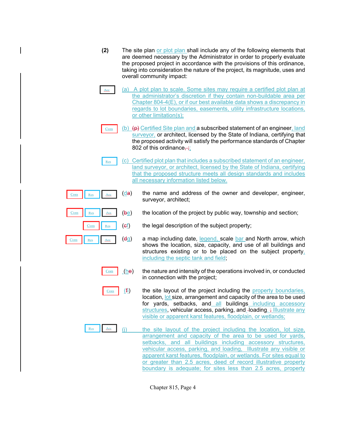- **(2)** The site plan or plot plan shall include any of the following elements that are deemed necessary by the Administrator in order to properly evaluate the proposed project in accordance with the provisions of this ordinance, taking into consideration the nature of the project, its magnitude, uses and overall community impact:
- (a) A plot plan to scale. Some sites may require a certified plot plan at  $Acc$ the administrator's discretion if they contain non-buildable area per Chapter 804-4(E), or if our best available data shows a discrepancy in regards to lot boundaries, easements, utility infrastructure locations, or other limitation(s);
- (b)  $\left(\frac{p}{p}\right)$  Certified Site plan and a subscribed statement of an engineer, land  $Com$ surveyor, or architect, licensed by the State of Indiana, certifying that the proposed activity will satisfy the performance standards of Chapter 802 of this ordinance,  $\frac{1}{2}$ ;
- (c) Certified plot plan that includes a subscribed statement of an engineer, Res land surveyor, or architect, licensed by the State of Indiana, certifying that the proposed structure meets all design standards and includes all necessary information listed below.
- $Com$ Res Acc  $Com$ Re:

Res

 $Com$ 

Com

Com

Res

Com

- (da) the name and address of the owner and developer, engineer, surveyor, architect;
- $(be)$  the location of the project by public way, township and section;
- $(e_i)$  the legal description of the subject property;
- $(dq)$  a map including date, legend, scale bar and North arrow, which shows the location, size, capacity, and use of all buildings and structures existing or to be placed on the subject property, including the septic tank and field;
- $(he)$  the nature and intensity of the operations involved in, or conducted in connection with the project;
- **(**(fi) the site layout of the project including the property boundaries, location, lot size, arrangement and capacity of the area to be used for yards, setbacks, and all buildings including accessory structures, vehicular access, parking, and -loading. ; Illustrate any visible or apparent karst features, floodplain, or wetlands;
- Acc (j) the site layout of the project including the location, lot size, arrangement and capacity of the area to be used for yards, setbacks, and all buildings including accessory structures, vehicular access, parking, and loading, Illustrate any visible or apparent karst features, floodplain, or wetlands. For sites equal to or greater than 2.5 acres, deed of record illustrative property boundary is adequate; for sites less than 2.5 acres, property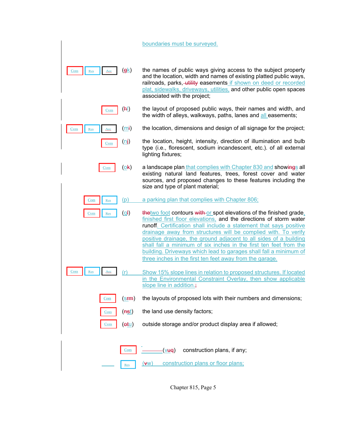#### boundaries must be surveyed.

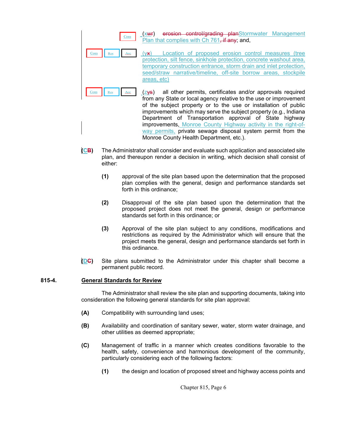|  | Com |
|--|-----|
|  |     |

Com

(xwr) erosion control/grading planStormwater Management Plan that complies with Ch 761, if any; and,

 (yx) Location of proposed erosion control measures (tree protection, silt fence, sinkhole protection, concrete washout area, temporary construction entrance, storm drain and inlet protection, seed/straw narrative/timeline, off-site borrow areas, stockpile areas, etc)

 $(z<sub>Y</sub>s)$  all other permits, certificates and/or approvals required from any State or local agency relative to the use or improvement of the subject property or to the use or installation of public improvements which may serve the subject property (e.g., Indiana Department of Transportation approval of State highway improvements, Monroe County Highway activity in the right-ofway permits, private sewage disposal system permit from the Monroe County Health Department, etc.).

- **(CB)** The Administrator shall consider and evaluate such application and associated site plan, and thereupon render a decision in writing, which decision shall consist of either:
	- **(1)** approval of the site plan based upon the determination that the proposed plan complies with the general, design and performance standards set forth in this ordinance;
	- **(2)** Disapproval of the site plan based upon the determination that the proposed project does not meet the general, design or performance standards set forth in this ordinance; or
	- **(3)** Approval of the site plan subject to any conditions, modifications and restrictions as required by the Administrator which will ensure that the project meets the general, design and performance standards set forth in this ordinance.
- **(DC)** Site plans submitted to the Administrator under this chapter shall become a permanent public record.

#### **815-4. General Standards for Review**

The Administrator shall review the site plan and supporting documents, taking into consideration the following general standards for site plan approval:

- **(A)** Compatibility with surrounding land uses;
- **(B)** Availability and coordination of sanitary sewer, water, storm water drainage, and other utilities as deemed appropriate;
- **(C)** Management of traffic in a manner which creates conditions favorable to the health, safety, convenience and harmonious development of the community, particularly considering each of the following factors:
	- **(1)** the design and location of proposed street and highway access points and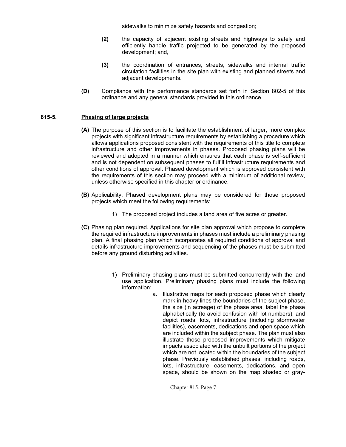sidewalks to minimize safety hazards and congestion;

- **(2)** the capacity of adjacent existing streets and highways to safely and efficiently handle traffic projected to be generated by the proposed development; and,
- **(3)** the coordination of entrances, streets, sidewalks and internal traffic circulation facilities in the site plan with existing and planned streets and adjacent developments.
- **(D)** Compliance with the performance standards set forth in Section 802-5 of this ordinance and any general standards provided in this ordinance.

#### **815-5. Phasing of large projects**

- **(A)** The purpose of this section is to facilitate the establishment of larger, more complex projects with significant infrastructure requirements by establishing a procedure which allows applications proposed consistent with the requirements of this title to complete infrastructure and other improvements in phases. Proposed phasing plans will be reviewed and adopted in a manner which ensures that each phase is self-sufficient and is not dependent on subsequent phases to fulfill infrastructure requirements and other conditions of approval. Phased development which is approved consistent with the requirements of this section may proceed with a minimum of additional review, unless otherwise specified in this chapter or ordinance.
- **(B)** Applicability. Phased development plans may be considered for those proposed projects which meet the following requirements:
	- 1) The proposed project includes a land area of five acres or greater.
- **(C)** Phasing plan required. Applications for site plan approval which propose to complete the required infrastructure improvements in phases must include a preliminary phasing plan. A final phasing plan which incorporates all required conditions of approval and details infrastructure improvements and sequencing of the phases must be submitted before any ground disturbing activities.
	- 1) Preliminary phasing plans must be submitted concurrently with the land use application. Preliminary phasing plans must include the following information:
		- a. Illustrative maps for each proposed phase which clearly mark in heavy lines the boundaries of the subject phase, the size (in acreage) of the phase area, label the phase alphabetically (to avoid confusion with lot numbers), and depict roads, lots, infrastructure (including stormwater facilities), easements, dedications and open space which are included within the subject phase. The plan must also illustrate those proposed improvements which mitigate impacts associated with the unbuilt portions of the project which are not located within the boundaries of the subject phase. Previously established phases, including roads, lots, infrastructure, easements, dedications, and open space, should be shown on the map shaded or gray-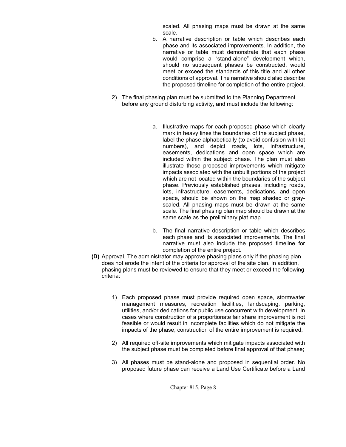scaled. All phasing maps must be drawn at the same scale.

- b. A narrative description or table which describes each phase and its associated improvements. In addition, the narrative or table must demonstrate that each phase would comprise a "stand-alone" development which, should no subsequent phases be constructed, would meet or exceed the standards of this title and all other conditions of approval. The narrative should also describe the proposed timeline for completion of the entire project.
- 2) The final phasing plan must be submitted to the Planning Department before any ground disturbing activity, and must include the following:
	- a. Illustrative maps for each proposed phase which clearly mark in heavy lines the boundaries of the subject phase, label the phase alphabetically (to avoid confusion with lot numbers), and depict roads, lots, infrastructure, easements, dedications and open space which are included within the subject phase. The plan must also illustrate those proposed improvements which mitigate impacts associated with the unbuilt portions of the project which are not located within the boundaries of the subject phase. Previously established phases, including roads, lots, infrastructure, easements, dedications, and open space, should be shown on the map shaded or grayscaled. All phasing maps must be drawn at the same scale. The final phasing plan map should be drawn at the same scale as the preliminary plat map.
	- b. The final narrative description or table which describes each phase and its associated improvements. The final narrative must also include the proposed timeline for completion of the entire project.
- **(D)** Approval. The administrator may approve phasing plans only if the phasing plan does not erode the intent of the criteria for approval of the site plan. In addition, phasing plans must be reviewed to ensure that they meet or exceed the following criteria:
	- 1) Each proposed phase must provide required open space, stormwater management measures, recreation facilities, landscaping, parking, utilities, and/or dedications for public use concurrent with development. In cases where construction of a proportionate fair share improvement is not feasible or would result in incomplete facilities which do not mitigate the impacts of the phase, construction of the entire improvement is required;
	- 2) All required off-site improvements which mitigate impacts associated with the subject phase must be completed before final approval of that phase;
	- 3) All phases must be stand-alone and proposed in sequential order. No proposed future phase can receive a Land Use Certificate before a Land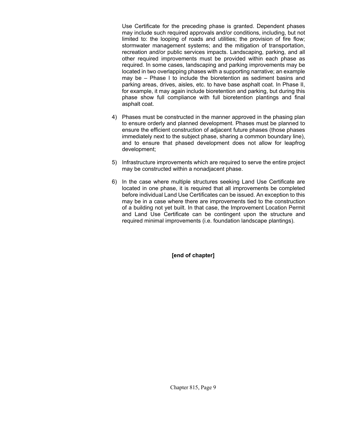Use Certificate for the preceding phase is granted. Dependent phases may include such required approvals and/or conditions, including, but not limited to: the looping of roads and utilities; the provision of fire flow; stormwater management systems; and the mitigation of transportation, recreation and/or public services impacts. Landscaping, parking, and all other required improvements must be provided within each phase as required. In some cases, landscaping and parking improvements may be located in two overlapping phases with a supporting narrative; an example may be – Phase I to include the bioretention as sediment basins and parking areas, drives, aisles, etc. to have base asphalt coat. In Phase II, for example, it may again include bioretention and parking, but during this phase show full compliance with full bioretention plantings and final asphalt coat.

- 4) Phases must be constructed in the manner approved in the phasing plan to ensure orderly and planned development. Phases must be planned to ensure the efficient construction of adjacent future phases (those phases immediately next to the subject phase, sharing a common boundary line), and to ensure that phased development does not allow for leapfrog development;
- 5) Infrastructure improvements which are required to serve the entire project may be constructed within a nonadjacent phase.
- 6) In the case where multiple structures seeking Land Use Certificate are located in one phase, it is required that all improvements be completed before individual Land Use Certificates can be issued. An exception to this may be in a case where there are improvements tied to the construction of a building not yet built. In that case, the Improvement Location Permit and Land Use Certificate can be contingent upon the structure and required minimal improvements (i.e. foundation landscape plantings).

#### **[end of chapter]**